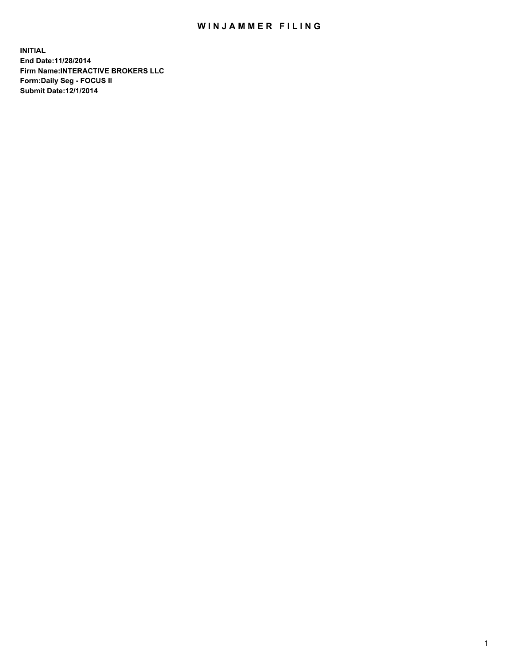## WIN JAMMER FILING

**INITIAL End Date:11/28/2014 Firm Name:INTERACTIVE BROKERS LLC Form:Daily Seg - FOCUS II Submit Date:12/1/2014**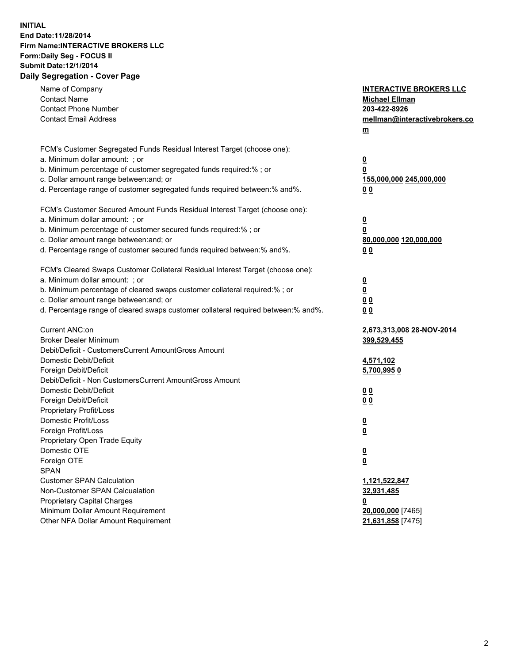## **INITIAL End Date:11/28/2014 Firm Name:INTERACTIVE BROKERS LLC Form:Daily Seg - FOCUS II Submit Date:12/1/2014 Daily Segregation - Cover Page**

| Name of Company<br><b>Contact Name</b><br><b>Contact Phone Number</b><br><b>Contact Email Address</b>                                                                                                                                                                                                                          | <b>INTERACTIVE BROKERS LLC</b><br><b>Michael Ellman</b><br>203-422-8926<br>mellman@interactivebrokers.co<br>$\underline{\mathbf{m}}$ |
|--------------------------------------------------------------------------------------------------------------------------------------------------------------------------------------------------------------------------------------------------------------------------------------------------------------------------------|--------------------------------------------------------------------------------------------------------------------------------------|
| FCM's Customer Segregated Funds Residual Interest Target (choose one):<br>a. Minimum dollar amount: ; or<br>b. Minimum percentage of customer segregated funds required:% ; or<br>c. Dollar amount range between: and; or<br>d. Percentage range of customer segregated funds required between:% and%.                         | <u>0</u><br>0<br><u>155,000,000 245,000,000</u><br>00                                                                                |
| FCM's Customer Secured Amount Funds Residual Interest Target (choose one):<br>a. Minimum dollar amount: ; or<br>b. Minimum percentage of customer secured funds required:% ; or<br>c. Dollar amount range between: and; or<br>d. Percentage range of customer secured funds required between:% and%.                           | <u>0</u><br>0<br>80,000,000 120,000,000<br>0 <sub>0</sub>                                                                            |
| FCM's Cleared Swaps Customer Collateral Residual Interest Target (choose one):<br>a. Minimum dollar amount: ; or<br>b. Minimum percentage of cleared swaps customer collateral required:% ; or<br>c. Dollar amount range between: and; or<br>d. Percentage range of cleared swaps customer collateral required between:% and%. | $\overline{\mathbf{0}}$<br>$\overline{\mathbf{0}}$<br>0 <sub>0</sub><br>0 <sub>0</sub>                                               |
| Current ANC:on<br><b>Broker Dealer Minimum</b><br>Debit/Deficit - CustomersCurrent AmountGross Amount<br>Domestic Debit/Deficit<br>Foreign Debit/Deficit                                                                                                                                                                       | 2,673,313,008 28-NOV-2014<br>399,529,455<br>4,571,102<br>5,700,9950                                                                  |
| Debit/Deficit - Non CustomersCurrent AmountGross Amount<br>Domestic Debit/Deficit<br>Foreign Debit/Deficit<br>Proprietary Profit/Loss<br>Domestic Profit/Loss<br>Foreign Profit/Loss                                                                                                                                           | 0 <sub>0</sub><br>0 <sub>0</sub><br><u>0</u><br>$\underline{\mathbf{0}}$                                                             |
| Proprietary Open Trade Equity<br>Domestic OTE<br>Foreign OTE<br><b>SPAN</b><br><b>Customer SPAN Calculation</b><br>Non-Customer SPAN Calcualation                                                                                                                                                                              | <u>0</u><br><u>0</u><br>1,121,522,847<br>32,931,485                                                                                  |
| <b>Proprietary Capital Charges</b><br>Minimum Dollar Amount Requirement<br>Other NFA Dollar Amount Requirement                                                                                                                                                                                                                 | <u>0</u><br>20,000,000 [7465]<br>21,631,858 [7475]                                                                                   |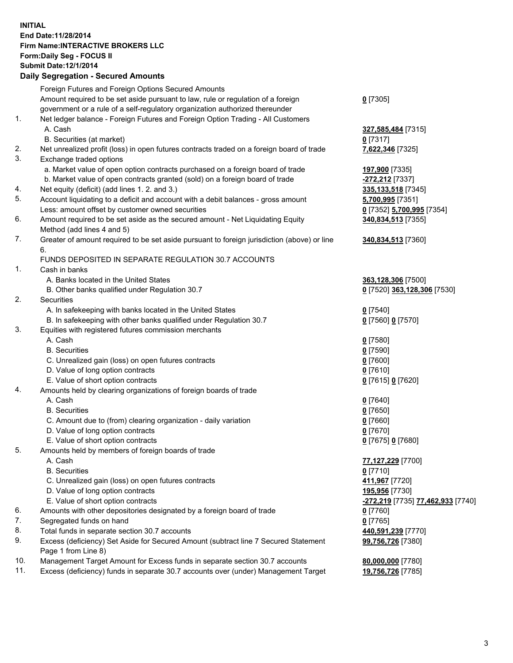## **INITIAL End Date:11/28/2014 Firm Name:INTERACTIVE BROKERS LLC Form:Daily Seg - FOCUS II Submit Date:12/1/2014 Daily Segregation - Secured Amounts**

|     | Dany Ocgregation - Oceanea Annoanta                                                         |                                                                   |
|-----|---------------------------------------------------------------------------------------------|-------------------------------------------------------------------|
|     | Foreign Futures and Foreign Options Secured Amounts                                         |                                                                   |
|     | Amount required to be set aside pursuant to law, rule or regulation of a foreign            | $0$ [7305]                                                        |
|     | government or a rule of a self-regulatory organization authorized thereunder                |                                                                   |
| 1.  | Net ledger balance - Foreign Futures and Foreign Option Trading - All Customers             |                                                                   |
|     | A. Cash                                                                                     | 327,585,484 [7315]                                                |
|     | B. Securities (at market)                                                                   | $0$ [7317]                                                        |
| 2.  | Net unrealized profit (loss) in open futures contracts traded on a foreign board of trade   | 7,622,346 [7325]                                                  |
| 3.  | Exchange traded options                                                                     |                                                                   |
|     | a. Market value of open option contracts purchased on a foreign board of trade              | 197,900 [7335]                                                    |
|     | b. Market value of open contracts granted (sold) on a foreign board of trade                | -272,212 [7337]                                                   |
| 4.  | Net equity (deficit) (add lines 1.2. and 3.)                                                | 335, 133, 518 [7345]                                              |
| 5.  | Account liquidating to a deficit and account with a debit balances - gross amount           | 5,700,995 [7351]                                                  |
|     | Less: amount offset by customer owned securities                                            | 0 [7352] 5,700,995 [7354]                                         |
| 6.  | Amount required to be set aside as the secured amount - Net Liquidating Equity              | 340,834,513 [7355]                                                |
|     | Method (add lines 4 and 5)                                                                  |                                                                   |
| 7.  | Greater of amount required to be set aside pursuant to foreign jurisdiction (above) or line | 340,834,513 [7360]                                                |
|     | 6.                                                                                          |                                                                   |
|     | FUNDS DEPOSITED IN SEPARATE REGULATION 30.7 ACCOUNTS                                        |                                                                   |
| 1.  | Cash in banks                                                                               |                                                                   |
|     | A. Banks located in the United States                                                       | 363,128,306 [7500]                                                |
|     | B. Other banks qualified under Regulation 30.7                                              | 0 [7520] 363,128,306 [7530]                                       |
| 2.  | Securities                                                                                  |                                                                   |
|     | A. In safekeeping with banks located in the United States                                   | $0$ [7540]                                                        |
|     | B. In safekeeping with other banks qualified under Regulation 30.7                          | 0 [7560] 0 [7570]                                                 |
| 3.  | Equities with registered futures commission merchants                                       |                                                                   |
|     | A. Cash                                                                                     | $0$ [7580]                                                        |
|     | <b>B.</b> Securities                                                                        | $0$ [7590]                                                        |
|     | C. Unrealized gain (loss) on open futures contracts                                         | $0$ [7600]                                                        |
|     | D. Value of long option contracts                                                           | $0$ [7610]                                                        |
|     | E. Value of short option contracts                                                          | 0 [7615] 0 [7620]                                                 |
| 4.  | Amounts held by clearing organizations of foreign boards of trade                           |                                                                   |
|     | A. Cash                                                                                     | $0$ [7640]                                                        |
|     | <b>B.</b> Securities                                                                        | $0$ [7650]                                                        |
|     | C. Amount due to (from) clearing organization - daily variation                             | $0$ [7660]                                                        |
|     | D. Value of long option contracts                                                           | $0$ [7670]                                                        |
| 5.  | E. Value of short option contracts                                                          | 0 [7675] 0 [7680]                                                 |
|     | Amounts held by members of foreign boards of trade<br>A. Cash                               |                                                                   |
|     |                                                                                             | 77,127,229 [7700]                                                 |
|     | <b>B.</b> Securities                                                                        | $0$ [7710]                                                        |
|     | C. Unrealized gain (loss) on open futures contracts                                         | 411,967 [7720]<br>195,956 [7730]                                  |
|     | D. Value of long option contracts<br>E. Value of short option contracts                     |                                                                   |
| 6.  | Amounts with other depositories designated by a foreign board of trade                      | <mark>-272,219</mark> [7735] <u>77,462,933</u> [7740]<br>0 [7760] |
| 7.  | Segregated funds on hand                                                                    |                                                                   |
| 8.  | Total funds in separate section 30.7 accounts                                               | $0$ [7765]                                                        |
| 9.  | Excess (deficiency) Set Aside for Secured Amount (subtract line 7 Secured Statement         | 440,591,239 [7770]                                                |
|     | Page 1 from Line 8)                                                                         | 99,756,726 [7380]                                                 |
| 10. | Management Target Amount for Excess funds in separate section 30.7 accounts                 | 80,000,000 [7780]                                                 |
| 11. | Excess (deficiency) funds in separate 30.7 accounts over (under) Management Target          | 19,756,726 [7785]                                                 |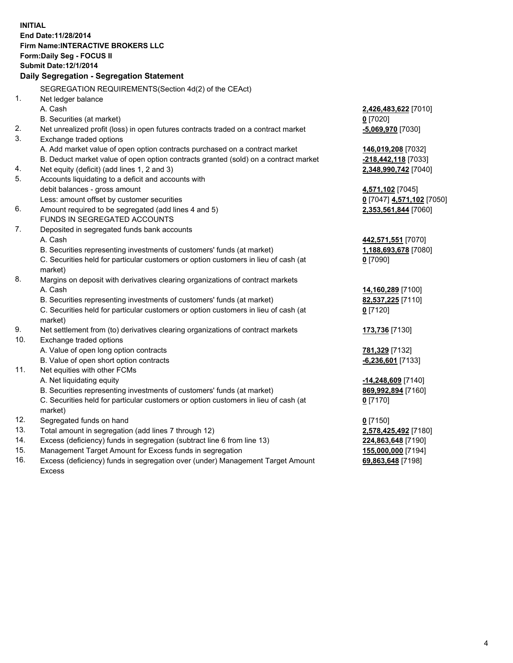**INITIAL End Date:11/28/2014 Firm Name:INTERACTIVE BROKERS LLC Form:Daily Seg - FOCUS II Submit Date:12/1/2014 Daily Segregation - Segregation Statement** SEGREGATION REQUIREMENTS(Section 4d(2) of the CEAct) 1. Net ledger balance A. Cash **2,426,483,622** [7010] B. Securities (at market) **0** [7020] 2. Net unrealized profit (loss) in open futures contracts traded on a contract market **-5,069,970** [7030] 3. Exchange traded options A. Add market value of open option contracts purchased on a contract market **146,019,208** [7032] B. Deduct market value of open option contracts granted (sold) on a contract market **-218,442,118** [7033] 4. Net equity (deficit) (add lines 1, 2 and 3) **2,348,990,742** [7040] 5. Accounts liquidating to a deficit and accounts with debit balances - gross amount **4,571,102** [7045] Less: amount offset by customer securities **0** [7047] **4,571,102** [7050] 6. Amount required to be segregated (add lines 4 and 5) **2,353,561,844** [7060] FUNDS IN SEGREGATED ACCOUNTS 7. Deposited in segregated funds bank accounts A. Cash **442,571,551** [7070] B. Securities representing investments of customers' funds (at market) **1,188,693,678** [7080] C. Securities held for particular customers or option customers in lieu of cash (at market) **0** [7090] 8. Margins on deposit with derivatives clearing organizations of contract markets A. Cash **14,160,289** [7100] B. Securities representing investments of customers' funds (at market) **82,537,225** [7110] C. Securities held for particular customers or option customers in lieu of cash (at market) **0** [7120] 9. Net settlement from (to) derivatives clearing organizations of contract markets **173,736** [7130] 10. Exchange traded options A. Value of open long option contracts **781,329** [7132] B. Value of open short option contracts **-6,236,601** [7133] 11. Net equities with other FCMs A. Net liquidating equity **-14,248,609** [7140] B. Securities representing investments of customers' funds (at market) **869,992,894** [7160] C. Securities held for particular customers or option customers in lieu of cash (at market) **0** [7170] 12. Segregated funds on hand **0** [7150] 13. Total amount in segregation (add lines 7 through 12) **2,578,425,492** [7180] 14. Excess (deficiency) funds in segregation (subtract line 6 from line 13) **224,863,648** [7190] 15. Management Target Amount for Excess funds in segregation **155,000,000** [7194]

16. Excess (deficiency) funds in segregation over (under) Management Target Amount Excess

**69,863,648** [7198]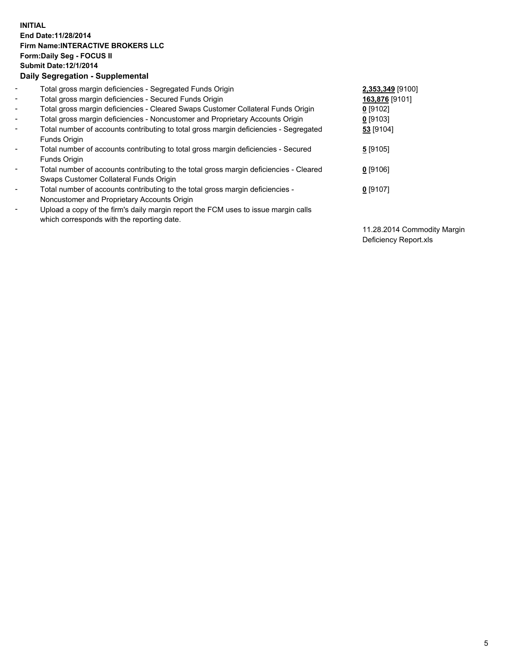## **INITIAL End Date:11/28/2014 Firm Name:INTERACTIVE BROKERS LLC Form:Daily Seg - FOCUS II Submit Date:12/1/2014 Daily Segregation - Supplemental**

| $\blacksquare$           | Total gross margin deficiencies - Segregated Funds Origin                              | 2,353,349 [9100] |
|--------------------------|----------------------------------------------------------------------------------------|------------------|
| $\sim$                   | Total gross margin deficiencies - Secured Funds Origin                                 | 163,876 [9101]   |
|                          |                                                                                        |                  |
| $\blacksquare$           | Total gross margin deficiencies - Cleared Swaps Customer Collateral Funds Origin       | $0$ [9102]       |
| $\blacksquare$           | Total gross margin deficiencies - Noncustomer and Proprietary Accounts Origin          | 0 [9103]         |
| $\blacksquare$           | Total number of accounts contributing to total gross margin deficiencies - Segregated  | 53 [9104]        |
|                          | <b>Funds Origin</b>                                                                    |                  |
| $\blacksquare$           | Total number of accounts contributing to total gross margin deficiencies - Secured     | 5 [9105]         |
|                          | Funds Origin                                                                           |                  |
| $\blacksquare$           | Total number of accounts contributing to the total gross margin deficiencies - Cleared | $0$ [9106]       |
|                          | Swaps Customer Collateral Funds Origin                                                 |                  |
| $\blacksquare$           | Total number of accounts contributing to the total gross margin deficiencies -         | 0 [9107]         |
|                          | Noncustomer and Proprietary Accounts Origin                                            |                  |
| $\overline{\phantom{a}}$ | Upload a copy of the firm's daily margin report the FCM uses to issue margin calls     |                  |
|                          | which corresponds with the reporting date.                                             |                  |

11.28.2014 Commodity Margin Deficiency Report.xls